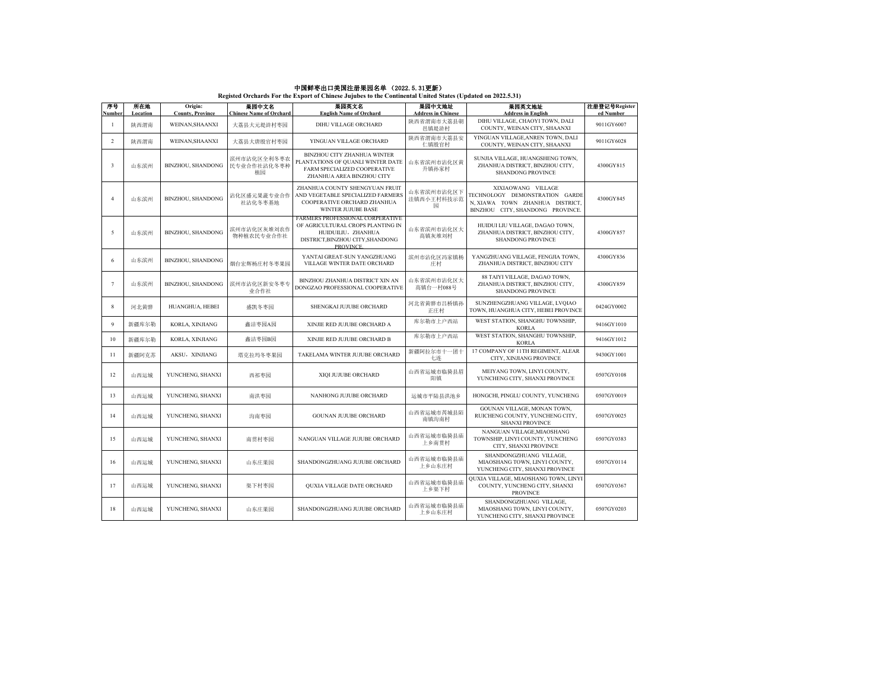## **中国鮮枣出口美国注册果园名单 (2022. 5. 31更新)**<br>Registed Orchards For the Export of Chinese Jujubes to the Continental United States (Updated on 2022.5.31)

| 序号             | 所在地              | Origin:                                   | 果园中文名                                        | 果园英文名                                                                                                                                        | 果园中文地址                                           | 果园英文地址                                                                                                                      | 注册登记号Register           |
|----------------|------------------|-------------------------------------------|----------------------------------------------|----------------------------------------------------------------------------------------------------------------------------------------------|--------------------------------------------------|-----------------------------------------------------------------------------------------------------------------------------|-------------------------|
| Number<br>1    | Location<br>陕西渭南 | <b>County, Province</b><br>WEINAN.SHAANXI | <b>Chinese Name of Orchard</b><br>大荔县大元堤浒村枣园 | <b>English Name of Orchard</b><br>DIHU VILLAGE ORCHARD                                                                                       | <b>Address in Chinese</b><br>陕西省渭南市大荔县朝<br>邑镇堤浒村 | <b>Address in English</b><br>DIHU VILLAGE, CHAOYI TOWN, DALI<br>COUNTY, WEINAN CITY, SHAANXI                                | ed Number<br>9011GY6007 |
| 2              | 陕西渭南             | WEINAN, SHAANXI                           | 大荔县大唐殷官村枣园                                   | YINGUAN VILLAGE ORCHARD                                                                                                                      | 陕西省渭南市大荔县安<br>仁镇股官村                              | YINGUAN VILLAGE, ANREN TOWN, DALI<br>COUNTY, WEINAN CITY, SHAANXI                                                           | 9011GY6028              |
| 3              | 山东滨州             | <b>BINZHOU, SHANDONG</b>                  | 滨州市沾化区全利冬枣农<br>民专业合作社沾化冬枣种<br>植园             | BINZHOU CITY ZHANHUA WINTER<br>PLANTATIONS OF QUANLI WINTER DATE<br>FARM SPECIALIZED COOPERATIVE<br>ZHANHUA AREA BINZHOU CITY                | 山东省滨州市沾化区黄<br>升镇孙家村                              | SUNJIA VILLAGE, HUANGSHENG TOWN,<br>ZHANHUA DISTRICT, BINZHOU CITY,<br><b>SHANDONG PROVINCE</b>                             | 4300GY815               |
| $\overline{4}$ | 山东滨州             | <b>BINZHOU, SHANDONG</b>                  | 沾化区盛元果蔬专业合作<br>社沾化冬枣基地                       | ZHANHUA COUNTY SHENGYUAN FRUIT<br>AND VEGETABLE SPECIALIZED FARMERS<br>COOPERATIVE ORCHARD ZHANHUA<br><b>WINTER JUJUBE BASE</b>              | 山东省滨州市沾化区下<br>洼镇西小王村科技示范<br>园                    | XIXIAOWANG VILLAGE<br>TECHNOLOGY DEMONSTRATION GARDE<br>N, XIAWA TOWN ZHANHUA DISTRICT,<br>BINZHOU CITY, SHANDONG PROVINCE. | 4300GY845               |
| 5              | 山东滨州             | <b>BINZHOU, SHANDONG</b>                  | 滨州市沾化区灰堆刘农作<br>物种植农民专业合作社                    | FARMERS PROFESSIONAL CORPERATIVE<br>OF AGRICULTURAL CROPS PLANTING IN<br>HUIDUILIU, ZHANHUA<br>DISTRICT, BINZHOU CITY, SHANDONG<br>PROVINCE. | 山东省滨州市沾化区大<br>高镇灰堆刘村                             | HUIDUI LIU VILLAGE, DAGAO TOWN,<br>ZHANHUA DISTRICT, BINZHOU CITY,<br><b>SHANDONG PROVINCE</b>                              | 4300GY857               |
| 6              | 山东滨州             | BINZHOU, SHANDONG                         | 烟台宏辉杨庄村冬枣果园                                  | YANTAI GREAT-SUN YANGZHUANG<br>VILLAGE WINTER DATE ORCHARD                                                                                   | 滨州市沾化区冯家镇杨<br>庄村                                 | YANGZHUANG VILLAGE, FENGJIA TOWN,<br>ZHANHUA DISTRICT, BINZHOU CITY                                                         | 4300GY836               |
| $\tau$         | 山东滨州             | BINZHOU, SHANDONG                         | 滨州市沾化区新安冬枣专<br>业合作社                          | BINZHOU ZHANHUA DISTRICT XIN AN<br>DONGZAO PROFESSIONAL COOPERATIVE                                                                          | 山东省滨州市沾化区大<br>高镇台一村088号                          | 88 TAIYI VILLAGE, DAGAO TOWN,<br>ZHANHUA DISTRICT, BINZHOU CITY,<br><b>SHANDONG PROVINCE</b>                                | 4300GY859               |
| 8              | 河北黄骅             | HUANGHUA, HEBEI                           | 盛凯冬枣园                                        | SHENGKAI JUJUBE ORCHARD                                                                                                                      | 河北省黄骅市吕桥镇孙<br>正庄村                                | SUNZHENGZHUANG VILLAGE, LVQIAO<br>TOWN, HUANGHUA CITY, HEBEI PROVINCE                                                       | 0424GY0002              |
| 9              | 新疆库尔勒            | KORLA, XINJIANG                           | 鑫洁枣园A园                                       | XINJIE RED JUJUBE ORCHARD A                                                                                                                  | 库尔勒市上户西站                                         | WEST STATION, SHANGHU TOWNSHIP,<br><b>KORLA</b>                                                                             | 9416GY1010              |
| 10             | 新疆库尔勒            | KORLA, XINJIANG                           | 鑫洁枣园B园                                       | XINJIE RED JUJUBE ORCHARD B                                                                                                                  | 库尔勒市上户西站                                         | WEST STATION, SHANGHU TOWNSHIP,<br><b>KORLA</b>                                                                             | 9416GY1012              |
| 11             | 新疆阿克苏            | AKSU, XINJIANG                            | 塔克拉玛冬枣果园                                     | TAKELAMA WINTER JUJUBE ORCHARD                                                                                                               | 新疆阿拉尔市十一团十<br>七连                                 | 17 COMPANY OF 11TH REGIMENT, ALEAR<br>CITY, XINJIANG PROVINCE                                                               | 9430GY1001              |
| 12             | 山西运城             | YUNCHENG, SHANXI                          | 西祁枣园                                         | XIQI JUJUBE ORCHARD                                                                                                                          | 山西省运城市临猗县眉<br>阳镇                                 | MEIYANG TOWN, LINYI COUNTY,<br>YUNCHENG CITY, SHANXI PROVINCE                                                               | 0507GY0108              |
| 13             | 山西运城             | YUNCHENG, SHANXI                          | 南洪枣园                                         | NANHONG JUJUBE ORCHARD                                                                                                                       | 运城市平陆县洪池乡                                        | HONGCHI, PINGLU COUNTY, YUNCHENG                                                                                            | 0507GY0019              |
| 14             | 山西运城             | YUNCHENG, SHANXI                          | 沟南枣园                                         | <b>GOUNAN JUJUBE ORCHARD</b>                                                                                                                 | 山西省运城市芮城县陌<br>南镇沟南村                              | GOUNAN VILLAGE, MONAN TOWN,<br>RUICHENG COUNTY, YUNCHENG CITY,<br><b>SHANXI PROVINCE</b>                                    | 0507GY0025              |
| 15             | 山西运城             | YUNCHENG, SHANXI                          | 南贯村枣园                                        | NANGUAN VILLAGE JUJUBE ORCHARD                                                                                                               | 山西省运城市临猗县庙<br>上乡南贯村                              | NANGUAN VILLAGE, MIAOSHANG<br>TOWNSHIP, LINYI COUNTY, YUNCHENG<br>CITY, SHANXI PROVINCE                                     | 0507GY0383              |
| 16             | 山西运城             | YUNCHENG, SHANXI                          | 山东庄果园                                        | SHANDONGZHUANG JUJUBE ORCHARD                                                                                                                | 山西省运城市临猗县庙<br>上乡山东庄村                             | SHANDONGZHUANG VILLAGE.<br>MIAOSHANG TOWN, LINYI COUNTY,<br>YUNCHENG CITY, SHANXI PROVINCE                                  | 0507GY0114              |
| 17             | 山西运城             | YUNCHENG, SHANXI                          | 渠下村枣园                                        | QUXIA VILLAGE DATE ORCHARD                                                                                                                   | 山西省运城市临猗县庙<br>上乡渠下村                              | QUXIA VILLAGE, MIAOSHANG TOWN, LINYI<br>COUNTY, YUNCHENG CITY, SHANXI<br><b>PROVINCE</b>                                    | 0507GY0367              |
| 18             | 山西运城             | YUNCHENG, SHANXI                          | 山东庄果园                                        | SHANDONGZHUANG JUJUBE ORCHARD                                                                                                                | 山西省运城市临猗县庙<br>上乡山东庄村                             | SHANDONGZHUANG VILLAGE,<br>MIAOSHANG TOWN, LINYI COUNTY,<br>YUNCHENG CITY, SHANXI PROVINCE                                  | 0507GY0203              |